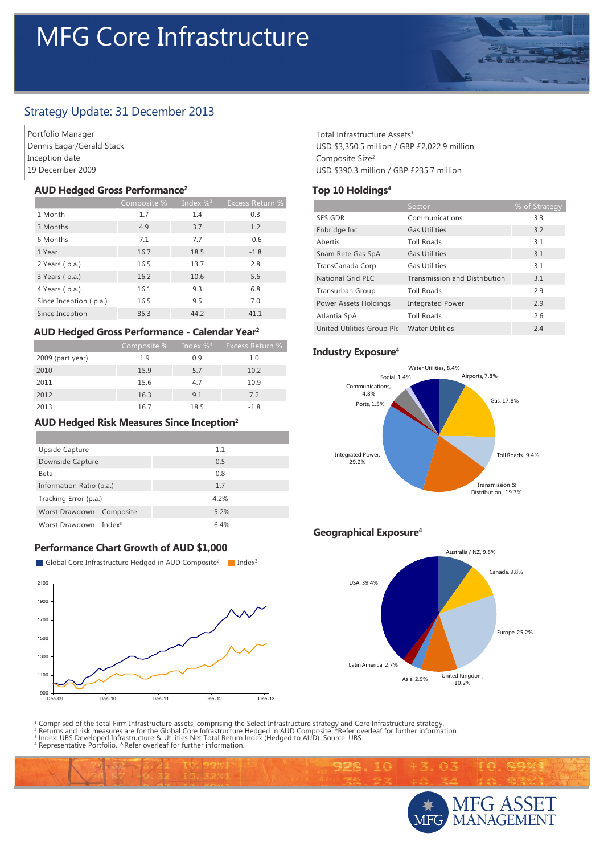# MFG Core Infrastructure

# Strategy Update: 31 December 2013

Portfolio Manager Dennis Eagar/Gerald Stack Inception date 19 December 2009

#### **AUD Hedged Gross Performance2**

|                        | Composite % | Index $\%$ <sup>3</sup> | <b>Excess Return %</b> |
|------------------------|-------------|-------------------------|------------------------|
| 1 Month                | 1.7         | 1.4                     | 0.3                    |
| 3 Months               | 4.9         | 3.7                     | 1.2                    |
| 6 Months               | 7.1         | 7.7                     | $-0.6$                 |
| 1 Year                 | 16.7        | 18.5                    | $-1.8$                 |
| 2 Years (p.a.)         | 16.5        | 13.7                    | 2.8                    |
| 3 Years (p.a.)         | 16.2        | 10.6                    | 5.6                    |
| 4 Years (p.a.)         | 16.1        | 9.3                     | 6.8                    |
| Since Inception (p.a.) | 16.5        | 9.5                     | 7.0                    |
| Since Inception        | 85.3        | 44.2                    | 41.1                   |

### **AUD Hedged Gross Performance - Calendar Year2**

|                  | Composite % | $\sqrt{2}$ Index % <sup>3</sup> | Excess Return % |
|------------------|-------------|---------------------------------|-----------------|
| 2009 (part year) | 1.9         | 0.9                             | 1.0             |
| 2010             | 15.9        | 5.7                             | 10.2            |
| 2011             | 15.6        | 4.7                             | 10.9            |
| 2012             | 16.3        | 9.1                             | 7.2             |
| 2013             | 16.7        | 18.5                            | $-1.8$          |

#### **AUD Hedged Risk Measures Since Inception2**

| Upside Capture                      | 1.1     |
|-------------------------------------|---------|
| Downside Capture                    | 0.5     |
| Beta                                | 0.8     |
| Information Ratio (p.a.)            | 1.7     |
| Tracking Error (p.a.)               | 4.2%    |
| Worst Drawdown - Composite          | $-5.2%$ |
| Worst Drawdown - Index <sup>3</sup> | $-6.4%$ |

## **Performance Chart Growth of AUD \$1,000**



Total Infrastructure Assets<sup>1</sup> USD \$3,350.5 million / GBP £2,022.9 million Composite Size2 USD \$390.3 million / GBP £235.7 million

## **Top 10 Holdings4**

|                            | Sector                               | % of Strategy |
|----------------------------|--------------------------------------|---------------|
| <b>SES GDR</b>             | Communications                       | 3.3           |
| Enbridge Inc               | <b>Gas Utilities</b>                 | 3.2           |
| Abertis                    | <b>Toll Roads</b>                    | 3.1           |
| Snam Rete Gas SpA          | <b>Gas Utilities</b>                 | 3.1           |
| TransCanada Corp           | <b>Gas Utilities</b>                 | 3.1           |
| <b>National Grid PLC</b>   | <b>Transmission and Distribution</b> | 3.1           |
| Transurban Group           | <b>Toll Roads</b>                    | 2.9           |
| Power Assets Holdings      | <b>Integrated Power</b>              | 2.9           |
| Atlantia SpA               | <b>Toll Roads</b>                    | 2.6           |
| United Utilities Group Plc | <b>Water Utilities</b>               | 2.4           |

#### **Industry Exposure4**



# **Geographical Exposure4**

992.10



通常

<sup>1</sup> Comprised of the total Firm Infrastructure assets, comprising the Select Infrastructure strategy and Core Infrastructure strategy.<br><sup>2</sup> Returns and risk measures are for the Global Core Infrastructure Hedged in AUD Comp

Representative Portfolio. ^Refer overleaf for further information.